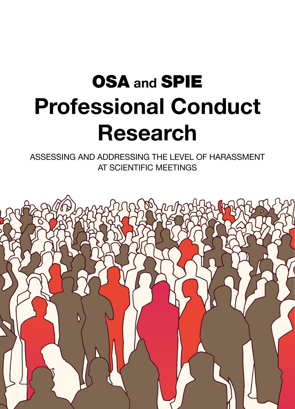# OSA and SPIE Professional Conduct Research

ASSESSING AND ADDRESSING THE LEVEL OF HARASSMENT AT SCIENTIFIC MEETINGS

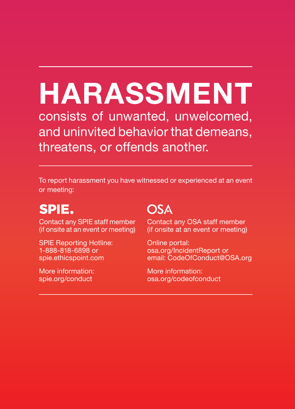# HARASSMENT

consists of unwanted, unwelcomed, and uninvited behavior that demeans, threatens, or offends another.

To report harassment you have witnessed or experienced at an event or meeting:

### SPIE.

Contact any SPIE staff member (if onsite at an event or meeting)

SPIE Reporting Hotline: 1-888-818-6898 or spie.ethicspoint.com

More information: spie.org/conduct

### **OSA**

Contact any OSA staff member (if onsite at an event or meeting)

Online portal: osa.org/IncidentReport or email: CodeOfConduct@OSA.org

More information: osa.org/codeofconduct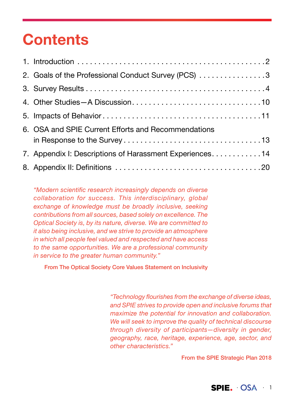### **Contents**

| 2. Goals of the Professional Conduct Survey (PCS) 3     |
|---------------------------------------------------------|
|                                                         |
|                                                         |
|                                                         |
| 6. OSA and SPIE Current Efforts and Recommendations     |
|                                                         |
| 7. Appendix I: Descriptions of Harassment Experiences14 |
|                                                         |

"Modern scientific research increasingly depends on diverse collaboration for success. This interdisciplinary, global exchange of knowledge must be broadly inclusive, seeking contributions from all sources, based solely on excellence. The Optical Society is, by its nature, diverse. We are committed to it also being inclusive, and we strive to provide an atmosphere in which all people feel valued and respected and have access to the same opportunities. We are a professional community in service to the greater human community."

From The Optical Society Core Values Statement on Inclusivity

"Technology flourishes from the exchange of diverse ideas, and SPIE strives to provide open and inclusive forums that maximize the potential for innovation and collaboration. We will seek to improve the quality of technical discourse through diversity of participants—diversity in gender, geography, race, heritage, experience, age, sector, and other characteristics."

From the SPIE Strategic Plan 2018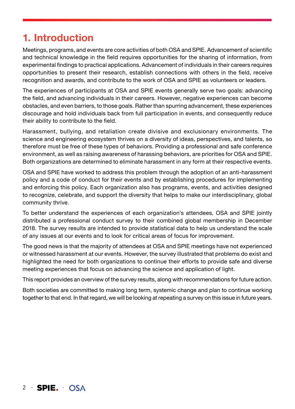### 1. Introduction

 $2$  · SPIE.  $OSA$ 

Meetings, programs, and events are core activities of both OSA and SPIE. Advancement of scientific and technical knowledge in the field requires opportunities for the sharing of information, from experimental findings to practical applications. Advancement of individuals in their careers requires opportunities to present their research, establish connections with others in the field, receive recognition and awards, and contribute to the work of OSA and SPIE as volunteers or leaders.

The experiences of participants at OSA and SPIE events generally serve two goals: advancing the field, and advancing individuals in their careers. However, negative experiences can become obstacles, and even barriers, to those goals. Rather than spurring advancement, these experiences discourage and hold individuals back from full participation in events, and consequently reduce their ability to contribute to the field.

Harassment, bullying, and retaliation create divisive and exclusionary environments. The science and engineering ecosystem thrives on a diversity of ideas, perspectives, and talents, so therefore must be free of these types of behaviors. Providing a professional and safe conference environment, as well as raising awareness of harassing behaviors, are priorities for OSA and SPIE. Both organizations are determined to eliminate harassment in any form at their respective events.

OSA and SPIE have worked to address this problem through the adoption of an anti-harassment policy and a code of conduct for their events and by establishing procedures for implementing and enforcing this policy. Each organization also has programs, events, and activities designed to recognize, celebrate, and support the diversity that helps to make our interdisciplinary, global community thrive.

To better understand the experiences of each organization's attendees, OSA and SPIE jointly distributed a professional conduct survey to their combined global membership in December 2018. The survey results are intended to provide statistical data to help us understand the scale of any issues at our events and to look for critical areas of focus for improvement.

The good news is that the majority of attendees at OSA and SPIE meetings have not experienced or witnessed harassment at our events. However, the survey illustrated that problems do exist and highlighted the need for both organizations to continue their efforts to provide safe and diverse meeting experiences that focus on advancing the science and application of light.

This report provides an overview of the survey results, along with recommendations for future action.

Both societies are committed to making long term, systemic change and plan to continue working together to that end. In that regard, we will be looking at repeating a survey on this issue in future years.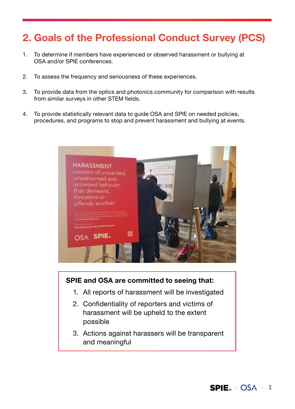### 2. Goals of the Professional Conduct Survey (PCS)

- 1. To determine if members have experienced or observed harassment or bullying at OSA and/or SPIE conferences.
- 2. To assess the frequency and seriousness of these experiences.
- 3. To provide data from the optics and photonics community for comparison with results from similar surveys in other STEM fields.
- 4. To provide statistically relevant data to guide OSA and SPIE on needed policies, procedures, and programs to stop and prevent harassment and bullying at events.



#### SPIE and OSA are committed to seeing that:

- 1. All reports of harassment will be investigated
- 2. Confidentiality of reporters and victims of harassment will be upheld to the extent possible
- 3. Actions against harassers will be transparent and meaningful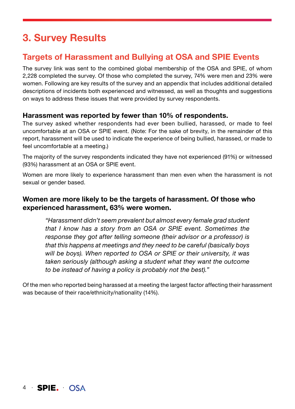### 3. Survey Results

#### Targets of Harassment and Bullying at OSA and SPIE Events

The survey link was sent to the combined global membership of the OSA and SPIE, of whom 2,228 completed the survey. Of those who completed the survey, 74% were men and 23% were women. Following are key results of the survey and an appendix that includes additional detailed descriptions of incidents both experienced and witnessed, as well as thoughts and suggestions on ways to address these issues that were provided by survey respondents.

#### Harassment was reported by fewer than 10% of respondents.

The survey asked whether respondents had ever been bullied, harassed, or made to feel uncomfortable at an OSA or SPIE event. (Note: For the sake of brevity, in the remainder of this report, harassment will be used to indicate the experience of being bullied, harassed, or made to feel uncomfortable at a meeting.)

The majority of the survey respondents indicated they have not experienced (91%) or witnessed (93%) harassment at an OSA or SPIE event.

Women are more likely to experience harassment than men even when the harassment is not sexual or gender based.

#### Women are more likely to be the targets of harassment. Of those who experienced harassment, 63% were women.

"Harassment didn't seem prevalent but almost every female grad student that I know has a story from an OSA or SPIE event. Sometimes the response they got after telling someone (their advisor or a professor) is that this happens at meetings and they need to be careful (basically boys will be boys). When reported to OSA or SPIE or their university, it was taken seriously (although asking a student what they want the outcome to be instead of having a policy is probably not the best)."

Of the men who reported being harassed at a meeting the largest factor affecting their harassment was because of their race/ethnicity/nationality (14%).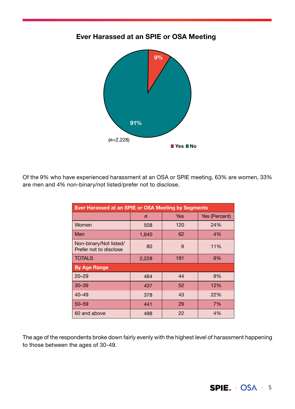

#### Ever Harassed at an SPIE or OSA Meeting

Of the 9% who have experienced harassment at an OSA or SPIE meeting, 63% are women, 33% are men and 4% non-binary/not listed/prefer not to disclose.

| Ever Harassed at an SPIE or OSA Meeting by Segments |              |            |               |  |
|-----------------------------------------------------|--------------|------------|---------------|--|
|                                                     | $\mathsf{n}$ | <b>Yes</b> | Yes (Percent) |  |
| Women                                               | 508          | 120        | 24%           |  |
| Men                                                 | 1,640        | 62         | 4%            |  |
| Non-binary/Not listed/<br>Prefer not to disclose    | 80           | 9          | 11%           |  |
| <b>TOTALS</b>                                       | 2,228        | 191        | 9%            |  |
| <b>By Age Range</b>                                 |              |            |               |  |
| $20 - 29$                                           | 464          | 44         | 9%            |  |
| $30 - 39$                                           | 437          | 52         | 12%           |  |
| $40 - 49$                                           | 378          | 43         | 22%           |  |
| $50 - 59$                                           | 441          | 29         | 7%            |  |
| 60 and above                                        | 498          | 22         | 4%            |  |

The age of the respondents broke down fairly evenly with the highest level of harassment happening to those between the ages of 30-49.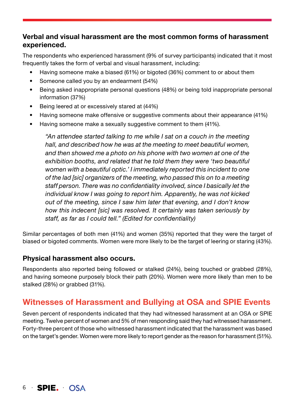#### Verbal and visual harassment are the most common forms of harassment experienced.

The respondents who experienced harassment (9% of survey participants) indicated that it most frequently takes the form of verbal and visual harassment, including:

- Having someone make a biased (61%) or bigoted (36%) comment to or about them
- Someone called you by an endearment (54%)
- Being asked inappropriate personal questions (48%) or being told inappropriate personal information (37%)
- Being leered at or excessively stared at (44%)
- Having someone make offensive or suggestive comments about their appearance (41%)
- Having someone make a sexually suggestive comment to them (41%).

"An attendee started talking to me while I sat on a couch in the meeting hall, and described how he was at the meeting to meet beautiful women, and then showed me a photo on his phone with two women at one of the exhibition booths, and related that he told them they were 'two beautiful women with a beautiful optic.' I immediately reported this incident to one of the lad [sic] organizers of the meeting, who passed this on to a meeting staff person. There was no confidentiality involved, since I basically let the individual know I was going to report him. Apparently, he was not kicked out of the meeting, since I saw him later that evening, and I don't know how this indecent [sic] was resolved. It certainly was taken seriously by staff, as far as I could tell." (Edited for confidentiality)

Similar percentages of both men (41%) and women (35%) reported that they were the target of biased or bigoted comments. Women were more likely to be the target of leering or staring (43%).

#### Physical harassment also occurs.

Respondents also reported being followed or stalked (24%), being touched or grabbed (28%), and having someone purposely block their path (20%). Women were more likely than men to be stalked (28%) or grabbed (31%).

#### Witnesses of Harassment and Bullying at OSA and SPIE Events

Seven percent of respondents indicated that they had witnessed harassment at an OSA or SPIE meeting. Twelve percent of women and 5% of men responding said they had witnessed harassment. Forty-three percent of those who witnessed harassment indicated that the harassment was based on the target's gender. Women were more likely to report gender as the reason for harassment (51%).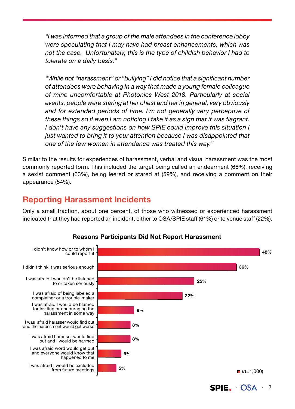"I was informed that a group of the male attendees in the conference lobby were speculating that I may have had breast enhancements, which was not the case. Unfortunately, this is the type of childish behavior I had to tolerate on a daily basis."

"While not "harassment" or "bullying" I did notice that a significant number of attendees were behaving in a way that made a young female colleague of mine uncomfortable at Photonics West 2018. Particularly at social events, people were staring at her chest and her in general, very obviously and for extended periods of time. I'm not generally very perceptive of these things so if even I am noticing I take it as a sign that it was flagrant. I don't have any suggestions on how SPIE could improve this situation I just wanted to bring it to your attention because I was disappointed that one of the few women in attendance was treated this way."

Similar to the results for experiences of harassment, verbal and visual harassment was the most commonly reported form. This included the target being called an endearment (68%), receiving a sexist comment (63%), being leered or stared at (59%), and receiving a comment on their appearance (54%).

#### Reporting Harassment Incidents

Only a small fraction, about one percent, of those who witnessed or experienced harassment indicated that they had reported an incident, either to OSA/SPIE staff (61%) or to venue staff (22%).



#### Reasons Participants Did Not Report Harassment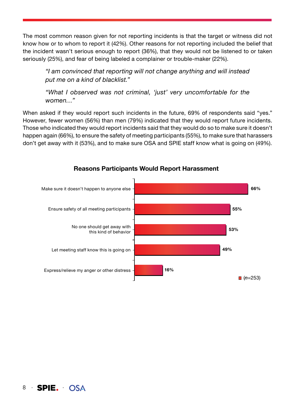The most common reason given for not reporting incidents is that the target or witness did not know how or to whom to report it (42%). Other reasons for not reporting included the belief that the incident wasn't serious enough to report (36%), that they would not be listened to or taken seriously (25%), and fear of being labeled a complainer or trouble-maker (22%).

"I am convinced that reporting will not change anything and will instead put me on a kind of blacklist."

"What I observed was not criminal, 'just' very uncomfortable for the women…"

When asked if they would report such incidents in the future, 69% of respondents said "yes." However, fewer women (56%) than men (79%) indicated that they would report future incidents. Those who indicated they would report incidents said that they would do so to make sure it doesn't happen again (66%), to ensure the safety of meeting participants (55%), to make sure that harassers don't get away with it (53%), and to make sure OSA and SPIE staff know what is going on (49%).



#### Reasons Participants Would Report Harassment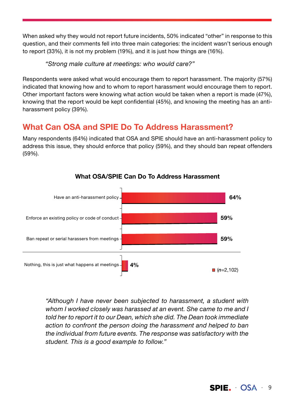When asked why they would not report future incidents, 50% indicated "other" in response to this question, and their comments fell into three main categories: the incident wasn't serious enough to report (33%), it is not my problem (19%), and it is just how things are (16%).

"Strong male culture at meetings: who would care?"

Respondents were asked what would encourage them to report harassment. The majority (57%) indicated that knowing how and to whom to report harassment would encourage them to report. Other important factors were knowing what action would be taken when a report is made (47%), knowing that the report would be kept confidential (45%), and knowing the meeting has an antiharassment policy (39%).

#### What Can OSA and SPIE Do To Address Harassment?

Many respondents (64%) indicated that OSA and SPIE should have an anti-harassment policy to address this issue, they should enforce that policy (59%), and they should ban repeat offenders (59%).



#### What OSA/SPIE Can Do To Address Harassment

"Although I have never been subjected to harassment, a student with whom I worked closely was harassed at an event. She came to me and I told her to report it to our Dean, which she did. The Dean took immediate action to confront the person doing the harassment and helped to ban the individual from future events. The response was satisfactory with the student. This is a good example to follow."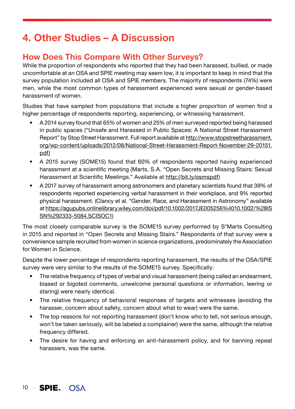### 4. Other Studies – A Discussion

#### How Does This Compare With Other Surveys?

While the proportion of respondents who reported that they had been harassed, bullied, or made uncomfortable at an OSA and SPIE meeting may seem low, it is important to keep in mind that the survey population included all OSA and SPIE members. The majority of respondents (74%) were men, while the most common types of harassment experienced were sexual or gender-based harassment of women.

Studies that have sampled from populations that include a higher proportion of women find a higher percentage of respondents reporting, experiencing, or witnessing harassment.

- A 2014 survey found that 65% of women and 25% of men surveyed reported being harassed in public spaces ("Unsafe and Harassed in Public Spaces: A National Street Harassment Report" by Stop Street Harassment. Full report available at http://www.stopstreetharassment. org/wp-content/uploads/2012/08/National-Street-Harassment-Report-November-29-20151. pdf)
- A 2015 survey (SOME15) found that 60% of respondents reported having experienced harassment at a scientific meeting (Marts, S.A. "Open Secrets and Missing Stairs: Sexual Harassment at Scientific Meetings." Available at http://bit.ly/osmspdf)
- A 2017 survey of harassment among astronomers and planetary scientists found that 39% of respondents reported experiencing verbal harassment in their workplace, and 9% reported physical harassment. (Clancy et al. "Gender, Race, and Harassment in Astronomy" available at https://agupubs.onlinelibrary.wiley.com/doi/pdf/10.1002/2017JE005256%4010.1002/%28IS SN%292333-5084.SCISOC1)

The most closely comparable survey is the SOME15 survey performed by S\*Marts Consulting in 2015 and reported in "Open Secrets and Missing Stairs." Respondents of that survey were a convenience sample recruited from women in science organizations, predominately the Association for Women in Science.

Despite the lower percentage of respondents reporting harassment, the results of the OSA/SPIE survey were very similar to the results of the SOME15 survey. Specifically:

- The relative frequency of types of verbal and visual harassment (being called an endearment, biased or bigoted comments, unwelcome personal questions or information, leering or staring) were nearly identical.
- The relative frequency of behavioral responses of targets and witnesses (avoiding the harasser, concern about safety, concern about what to wear) were the same.
- The top reasons for not reporting harassment (don't know who to tell, not serious enough, won't be taken seriously, will be labeled a complainer) were the same, although the relative frequency differed.
- The desire for having and enforcing an anti-harassment policy, and for banning repeat harassers, was the same.

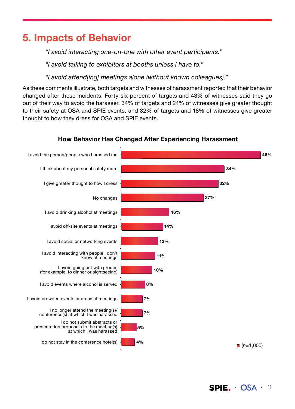### 5. Impacts of Behavior

"I avoid interacting one-on-one with other event participants."

"I avoid talking to exhibitors at booths unless I have to."

"I avoid attend[ing] meetings alone (without known colleagues)."

As these comments illustrate, both targets and witnesses of harassment reported that their behavior changed after these incidents. Forty-six percent of targets and 43% of witnesses said they go out of their way to avoid the harasser, 34% of targets and 24% of witnesses give greater thought to their safety at OSA and SPIE events, and 32% of targets and 18% of witnesses give greater thought to how they dress for OSA and SPIE events.



#### How Behavior Has Changed After Experiencing Harassment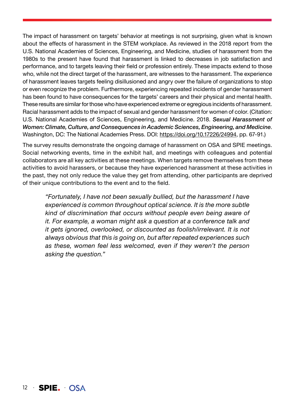The impact of harassment on targets' behavior at meetings is not surprising, given what is known about the effects of harassment in the STEM workplace. As reviewed in the 2018 report from the U.S. National Academies of Sciences, Engineering, and Medicine, studies of harassment from the 1980s to the present have found that harassment is linked to decreases in job satisfaction and performance, and to targets leaving their field or profession entirely. These impacts extend to those who, while not the direct target of the harassment, are witnesses to the harassment. The experience of harassment leaves targets feeling disillusioned and angry over the failure of organizations to stop or even recognize the problem. Furthermore, experiencing repeated incidents of gender harassment has been found to have consequences for the targets' careers and their physical and mental health. These results are similar for those who have experienced extreme or egregious incidents of harassment. Racial harassment adds to the impact of sexual and gender harassment for women of color. (Citation: U.S. National Academies of Sciences, Engineering, and Medicine. 2018. *Sexual Harassment of Women: Climate, Culture, and Consequences in Academic Sciences, Engineering, and Medicine*. Washington, DC: The National Academies Press. DOI: https://doi.org/10.17226/24994, pp. 67-91.)

The survey results demonstrate the ongoing damage of harassment on OSA and SPIE meetings. Social networking events, time in the exhibit hall, and meetings with colleagues and potential collaborators are all key activities at these meetings. When targets remove themselves from these activities to avoid harassers, or because they have experienced harassment at these activities in the past, they not only reduce the value they get from attending, other participants are deprived of their unique contributions to the event and to the field.

"Fortunately, I have not been sexually bullied, but the harassment I have experienced is common throughout optical science. It is the more subtle kind of discrimination that occurs without people even being aware of it. For example, a woman might ask a question at a conference talk and it gets ignored, overlooked, or discounted as foolish/irrelevant. It is not always obvious that this is going on, but after repeated experiences such as these, women feel less welcomed, even if they weren't the person asking the question."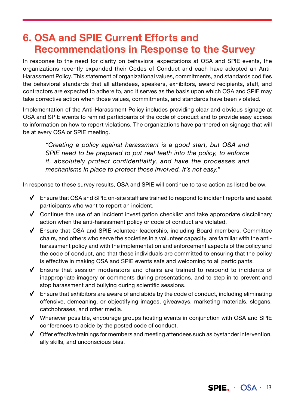### 6. OSA and SPIE Current Efforts and Recommendations in Response to the Survey

In response to the need for clarity on behavioral expectations at OSA and SPIE events, the organizations recently expanded their Codes of Conduct and each have adopted an Anti-Harassment Policy. This statement of organizational values, commitments, and standards codifies the behavioral standards that all attendees, speakers, exhibitors, award recipients, staff, and contractors are expected to adhere to, and it serves as the basis upon which OSA and SPIE may take corrective action when those values, commitments, and standards have been violated.

Implementation of the Anti-Harassment Policy includes providing clear and obvious signage at OSA and SPIE events to remind participants of the code of conduct and to provide easy access to information on how to report violations. The organizations have partnered on signage that will be at every OSA or SPIE meeting.

"Creating a policy against harassment is a good start, but OSA and SPIE need to be prepared to put real teeth into the policy, to enforce it, absolutely protect confidentiality, and have the processes and mechanisms in place to protect those involved. It's not easy."

In response to these survey results, OSA and SPIE will continue to take action as listed below.

- $\checkmark$  Ensure that OSA and SPIE on-site staff are trained to respond to incident reports and assist participants who want to report an incident.
- $\checkmark$  Continue the use of an incident investigation checklist and take appropriate disciplinary action when the anti-harassment policy or code of conduct are violated.
- $\checkmark$  Ensure that OSA and SPIE volunteer leadership, including Board members, Committee chairs, and others who serve the societies in a volunteer capacity, are familiar with the antiharassment policy and with the implementation and enforcement aspects of the policy and the code of conduct, and that these individuals are committed to ensuring that the policy is effective in making OSA and SPIE events safe and welcoming to all participants.
- $\checkmark$  Ensure that session moderators and chairs are trained to respond to incidents of inappropriate imagery or comments during presentations, and to step in to prevent and stop harassment and bullying during scientific sessions.
- $\checkmark$  Ensure that exhibitors are aware of and abide by the code of conduct, including eliminating offensive, demeaning, or objectifying images, giveaways, marketing materials, slogans, catchphrases, and other media.
- $\checkmark$  Whenever possible, encourage groups hosting events in conjunction with OSA and SPIE conferences to abide by the posted code of conduct.
- $\checkmark$  Offer effective trainings for members and meeting attendees such as bystander intervention, ally skills, and unconscious bias.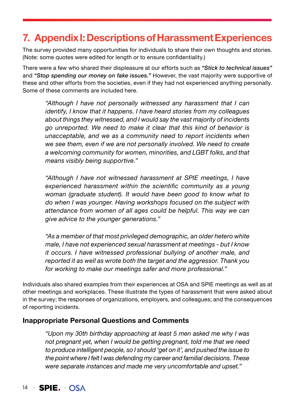### 7. Appendix I: Descriptions of Harassment Experiences

The survey provided many opportunities for individuals to share their own thoughts and stories. (Note: some quotes were edited for length or to ensure confidentiality.)

There were a few who shared their displeasure at our efforts such as *"Stick to technical issues"*  and *"Stop spending our money on fake issues."* However, the vast majority were supportive of these and other efforts from the societies, even if they had not experienced anything personally. Some of these comments are included here.

"Although I have not personally witnessed any harassment that I can identify, I know that it happens. I have heard stories from my colleagues about things they witnessed, and I would say the vast majority of incidents go unreported. We need to make it clear that this kind of behavior is unacceptable, and we as a community need to report incidents when we see them, even if we are not personally involved. We need to create a welcoming community for women, minorities, and LGBT folks, and that means visibly being supportive."

"Although I have not witnessed harassment at SPIE meetings, I have experienced harassment within the scientific community as a young woman (graduate student). It would have been good to know what to do when I was younger. Having workshops focused on the subject with attendance from women of all ages could be helpful. This way we can give advice to the younger generations."

"As a member of that most privileged demographic, an older hetero white male, I have not experienced sexual harassment at meetings - but I know it occurs. I have witnessed professional bullying of another male, and reported it as well as wrote both the target and the aggressor. Thank you for working to make our meetings safer and more professional."

Individuals also shared examples from their experiences at OSA and SPIE meetings as well as at other meetings and workplaces. These illustrate the types of harassment that were asked about in the survey; the responses of organizations, employers, and colleagues; and the consequences of reporting incidents.

#### Inappropriate Personal Questions and Comments

"Upon my 30th birthday approaching at least 5 men asked me why I was not pregnant yet, when I would be getting pregnant, told me that we need to produce intelligent people, so I should 'get on it', and pushed the issue to the point where I felt I was defending my career and familial decisions. These were separate instances and made me very uncomfortable and upset."

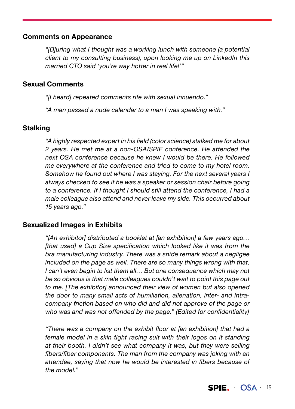#### Comments on Appearance

"[D]uring what I thought was a working lunch with someone (a potential client to my consulting business), upon looking me up on LinkedIn this married CTO said 'you're way hotter in real life!'"

#### Sexual Comments

"[I heard] repeated comments rife with sexual innuendo."

"A man passed a nude calendar to a man I was speaking with."

#### **Stalking**

"A highly respected expert in his field (color science) stalked me for about 2 years. He met me at a non-OSA/SPIE conference. He attended the next OSA conference because he knew I would be there. He followed me everywhere at the conference and tried to come to my hotel room. Somehow he found out where I was staying. For the next several years I always checked to see if he was a speaker or session chair before going to a conference. If I thought I should still attend the conference, I had a male colleague also attend and never leave my side. This occurred about 15 years ago."

#### Sexualized Images in Exhibits

"[An exhibitor] distributed a booklet at [an exhibition] a few years ago… [that used] a Cup Size specification which looked like it was from the bra manufacturing industry. There was a snide remark about a negligee included on the page as well. There are so many things wrong with that, I can't even begin to list them all… But one consequence which may not be so obvious is that male colleagues couldn't wait to point this page out to me. [The exhibitor] announced their view of women but also opened the door to many small acts of humiliation, alienation, inter- and intracompany friction based on who did and did not approve of the page or who was and was not offended by the page." (Edited for confidentiality)

"There was a company on the exhibit floor at [an exhibition] that had a female model in a skin tight racing suit with their logos on it standing at their booth. I didn't see what company it was, but they were selling fibers/fiber components. The man from the company was joking with an attendee, saying that now he would be interested in fibers because of the model."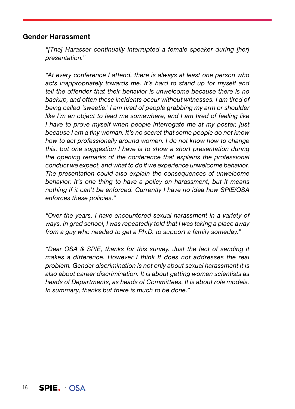#### Gender Harassment

"[The] Harasser continually interrupted a female speaker during [her] presentation."

"At every conference I attend, there is always at least one person who acts inappropriately towards me. It's hard to stand up for myself and tell the offender that their behavior is unwelcome because there is no backup, and often these incidents occur without witnesses. I am tired of being called 'sweetie.' I am tired of people grabbing my arm or shoulder like I'm an object to lead me somewhere, and I am tired of feeling like I have to prove myself when people interrogate me at my poster, just because I am a tiny woman. It's no secret that some people do not know how to act professionally around women. I do not know how to change this, but one suggestion I have is to show a short presentation during the opening remarks of the conference that explains the professional conduct we expect, and what to do if we experience unwelcome behavior. The presentation could also explain the consequences of unwelcome behavior. It's one thing to have a policy on harassment, but it means nothing if it can't be enforced. Currently I have no idea how SPIE/OSA enforces these policies."

"Over the years, I have encountered sexual harassment in a variety of ways. In grad school, I was repeatedly told that I was taking a place away from a guy who needed to get a Ph.D. to support a family someday."

"Dear OSA & SPIE, thanks for this survey. Just the fact of sending it makes a difference. However I think It does not addresses the real problem. Gender discrimination is not only about sexual harassment it is also about career discrimination. It is about getting women scientists as heads of Departments, as heads of Committees. It is about role models. In summary, thanks but there is much to be done."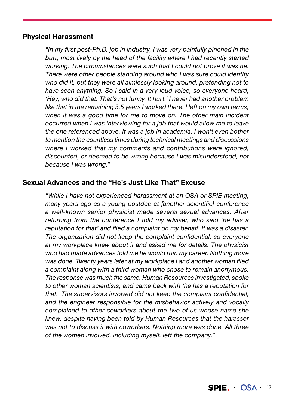#### Physical Harassment

"In my first post-Ph.D. job in industry, I was very painfully pinched in the butt, most likely by the head of the facility where I had recently started working. The circumstances were such that I could not prove it was he. There were other people standing around who I was sure could identify who did it, but they were all aimlessly looking around, pretending not to have seen anything. So I said in a very loud voice, so everyone heard, 'Hey, who did that. That's not funny. It hurt.' I never had another problem like that in the remaining 3.5 years I worked there. I left on my own terms, when it was a good time for me to move on. The other main incident occurred when I was interviewing for a job that would allow me to leave the one referenced above. It was a job in academia. I won't even bother to mention the countless times during technical meetings and discussions where I worked that my comments and contributions were ignored, discounted, or deemed to be wrong because I was misunderstood, not because I was wrong."

#### Sexual Advances and the "He's Just Like That" Excuse

"While I have not experienced harassment at an OSA or SPIE meeting, many years ago as a young postdoc at [another scientific] conference a well-known senior physicist made several sexual advances. After returning from the conference I told my adviser, who said 'he has a reputation for that' and filed a complaint on my behalf. It was a disaster. The organization did not keep the complaint confidential, so everyone at my workplace knew about it and asked me for details. The physicist who had made advances told me he would ruin my career. Nothing more was done. Twenty years later at my workplace I and another woman filed a complaint along with a third woman who chose to remain anonymous. The response was much the same. Human Resources investigated, spoke to other woman scientists, and came back with 'he has a reputation for that.' The supervisors involved did not keep the complaint confidential, and the engineer responsible for the misbehavior actively and vocally complained to other coworkers about the two of us whose name she knew, despite having been told by Human Resources that the harasser was not to discuss it with coworkers. Nothing more was done. All three of the women involved, including myself, left the company."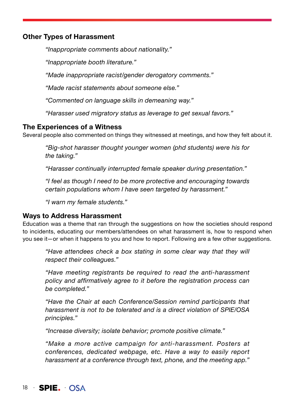#### Other Types of Harassment

"Inappropriate comments about nationality."

"Inappropriate booth literature."

"Made inappropriate racist/gender derogatory comments."

"Made racist statements about someone else."

"Commented on language skills in demeaning way."

"Harasser used migratory status as leverage to get sexual favors."

#### The Experiences of a Witness

Several people also commented on things they witnessed at meetings, and how they felt about it.

"Big-shot harasser thought younger women (phd students) were his for the taking."

"Harasser continually interrupted female speaker during presentation."

"I feel as though I need to be more protective and encouraging towards certain populations whom I have seen targeted by harassment."

"I warn my female students."

#### Ways to Address Harassment

Education was a theme that ran through the suggestions on how the societies should respond to incidents, educating our members/attendees on what harassment is, how to respond when you see it—or when it happens to you and how to report. Following are a few other suggestions.

"Have attendees check a box stating in some clear way that they will respect their colleagues."

"Have meeting registrants be required to read the anti-harassment policy and affirmatively agree to it before the registration process can be completed."

"Have the Chair at each Conference/Session remind participants that harassment is not to be tolerated and is a direct violation of SPIE/OSA principles."

"Increase diversity; isolate behavior; promote positive climate."

"Make a more active campaign for anti-harassment. Posters at conferences, dedicated webpage, etc. Have a way to easily report harassment at a conference through text, phone, and the meeting app."

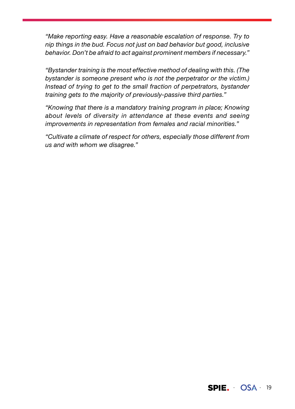"Make reporting easy. Have a reasonable escalation of response. Try to nip things in the bud. Focus not just on bad behavior but good, inclusive behavior. Don't be afraid to act against prominent members if necessary."

"Bystander training is the most effective method of dealing with this. (The bystander is someone present who is not the perpetrator or the victim.) Instead of trying to get to the small fraction of perpetrators, bystander training gets to the majority of previously-passive third parties."

"Knowing that there is a mandatory training program in place; Knowing about levels of diversity in attendance at these events and seeing improvements in representation from females and racial minorities."

"Cultivate a climate of respect for others, especially those different from us and with whom we disagree."

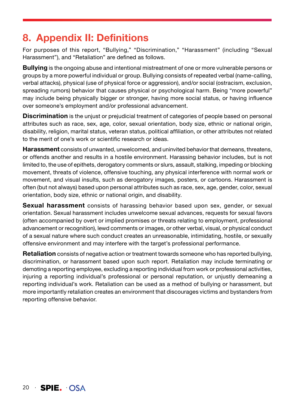### 8. Appendix II: Definitions

For purposes of this report, "Bullying," "Discrimination," "Harassment" (including "Sexual Harassment"), and "Retaliation" are defined as follows.

**Bullying** is the ongoing abuse and intentional mistreatment of one or more vulnerable persons or groups by a more powerful individual or group. Bullying consists of repeated verbal (name-calling, verbal attacks), physical (use of physical force or aggression), and/or social (ostracism, exclusion, spreading rumors) behavior that causes physical or psychological harm. Being "more powerful" may include being physically bigger or stronger, having more social status, or having influence over someone's employment and/or professional advancement.

**Discrimination** is the unjust or prejudicial treatment of categories of people based on personal attributes such as race, sex, age, color, sexual orientation, body size, ethnic or national origin, disability, religion, marital status, veteran status, political affiliation, or other attributes not related to the merit of one's work or scientific research or ideas.

Harassment consists of unwanted, unwelcomed, and uninvited behavior that demeans, threatens, or offends another and results in a hostile environment. Harassing behavior includes, but is not limited to, the use of epithets, derogatory comments or slurs, assault, stalking, impeding or blocking movement, threats of violence, offensive touching, any physical interference with normal work or movement, and visual insults, such as derogatory images, posters, or cartoons. Harassment is often (but not always) based upon personal attributes such as race, sex, age, gender, color, sexual orientation, body size, ethnic or national origin, and disability.

**Sexual harassment** consists of harassing behavior based upon sex, gender, or sexual orientation. Sexual harassment includes unwelcome sexual advances, requests for sexual favors (often accompanied by overt or implied promises or threats relating to employment, professional advancement or recognition), lewd comments or images, or other verbal, visual, or physical conduct of a sexual nature where such conduct creates an unreasonable, intimidating, hostile, or sexually offensive environment and may interfere with the target's professional performance.

**Retaliation** consists of negative action or treatment towards someone who has reported bullying, discrimination, or harassment based upon such report. Retaliation may include terminating or demoting a reporting employee, excluding a reporting individual from work or professional activities, injuring a reporting individual's professional or personal reputation, or unjustly demeaning a reporting individual's work. Retaliation can be used as a method of bullying or harassment, but more importantly retaliation creates an environment that discourages victims and bystanders from reporting offensive behavior.

20 · **SPIE. OSA**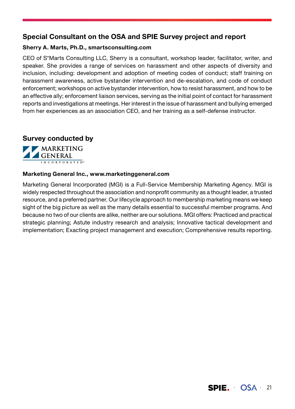#### Special Consultant on the OSA and SPIE Survey project and report

#### Sherry A. Marts, Ph.D., smartsconsulting.com

CEO of S\*Marts Consulting LLC, Sherry is a consultant, workshop leader, facilitator, writer, and speaker. She provides a range of services on harassment and other aspects of diversity and inclusion, including: development and adoption of meeting codes of conduct; staff training on harassment awareness, active bystander intervention and de-escalation, and code of conduct enforcement; workshops on active bystander intervention, how to resist harassment, and how to be an effective ally; enforcement liaison services, serving as the initial point of contact for harassment reports and investigations at meetings. Her interest in the issue of harassment and bullying emerged from her experiences as an association CEO, and her training as a self-defense instructor.





#### Marketing General Inc., www.marketinggeneral.com

Marketing General Incorporated (MGI) is a Full-Service Membership Marketing Agency. MGI is widely respected throughout the association and nonprofit community as a thought leader, a trusted resource, and a preferred partner. Our lifecycle approach to membership marketing means we keep sight of the big picture as well as the many details essential to successful member programs. And because no two of our clients are alike, neither are our solutions. MGI offers: Practiced and practical strategic planning; Astute industry research and analysis; Innovative tactical development and implementation; Exacting project management and execution; Comprehensive results reporting.